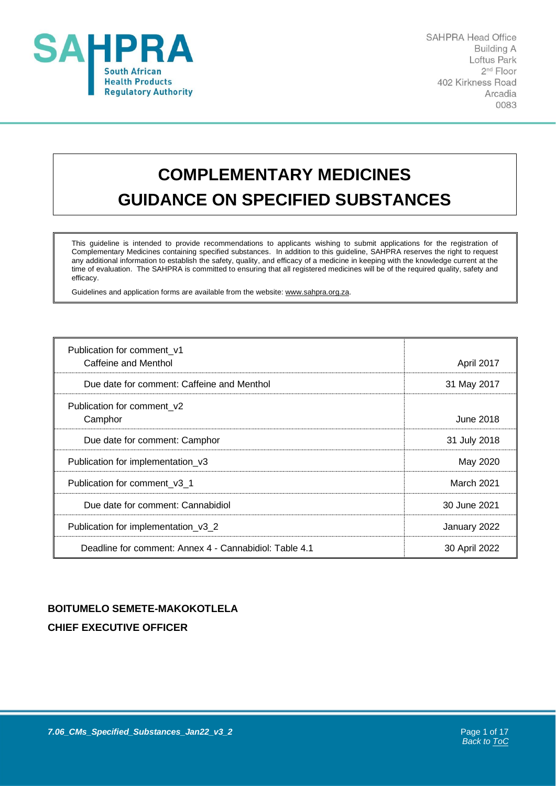

**SAHPRA Head Office Building A** Loftus Park 2<sup>nd</sup> Floor 402 Kirkness Road Arcadia 0083

# **COMPLEMENTARY MEDICINES GUIDANCE ON SPECIFIED SUBSTANCES**

This guideline is intended to provide recommendations to applicants wishing to submit applications for the registration of Complementary Medicines containing specified substances. In addition to this guideline, SAHPRA reserves the right to request any additional information to establish the safety, quality, and efficacy of a medicine in keeping with the knowledge current at the time of evaluation. The SAHPRA is committed to ensuring that all registered medicines will be of the required quality, safety and efficacy.

Guidelines and application forms are available from the website: [www.sahpra.org.za.](http://www.sahpra.org.za/)

<span id="page-0-1"></span>

| Publication for comment_v1                             |               |
|--------------------------------------------------------|---------------|
| Caffeine and Menthol                                   | April 2017    |
| Due date for comment: Caffeine and Menthol             | 31 May 2017   |
| Publication for comment_v2                             |               |
| Camphor                                                | June 2018     |
| Due date for comment: Camphor                          | 31 July 2018  |
| Publication for implementation_v3                      | May 2020      |
| Publication for comment v3 1                           | March 2021    |
| Due date for comment: Cannabidiol                      | 30 June 2021  |
| Publication for implementation_v3_2                    | January 2022  |
| Deadline for comment: Annex 4 - Cannabidiol: Table 4.1 | 30 April 2022 |

## <span id="page-0-0"></span>**BOITUMELO SEMETE-MAKOKOTLELA CHIEF EXECUTIVE OFFICER**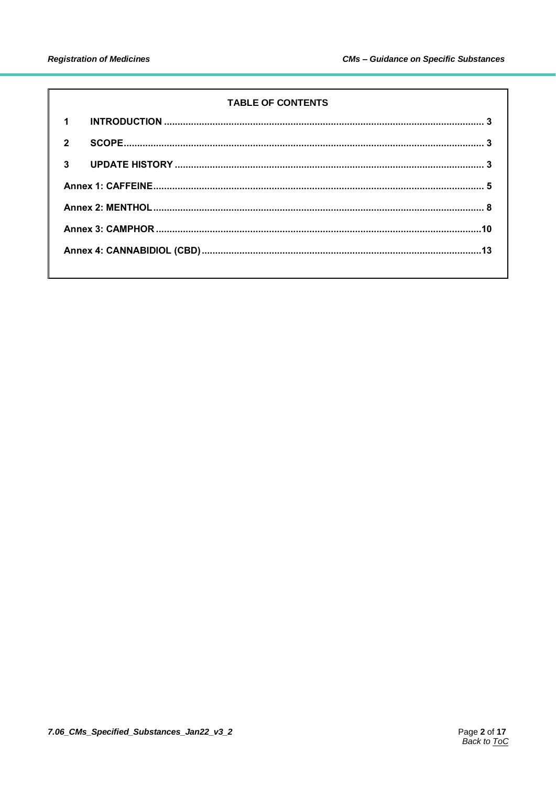#### **TABLE OF CONTENTS**

| 1              |  |  |
|----------------|--|--|
| $\overline{2}$ |  |  |
| $\mathbf{3}$   |  |  |
|                |  |  |
|                |  |  |
|                |  |  |
|                |  |  |
|                |  |  |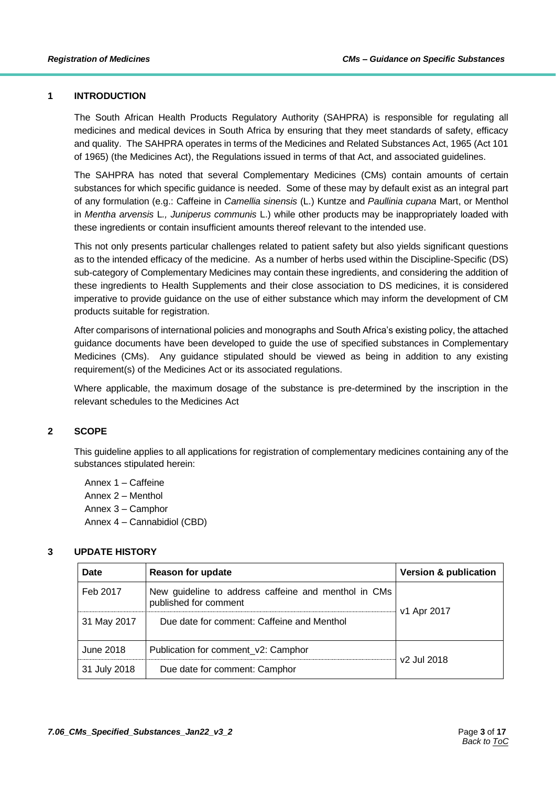#### <span id="page-2-0"></span>**1 INTRODUCTION**

The South African Health Products Regulatory Authority (SAHPRA) is responsible for regulating all medicines and medical devices in South Africa by ensuring that they meet standards of safety, efficacy and quality. The SAHPRA operates in terms of the Medicines and Related Substances Act, 1965 (Act 101 of 1965) (the Medicines Act), the Regulations issued in terms of that Act, and associated guidelines.

The SAHPRA has noted that several Complementary Medicines (CMs) contain amounts of certain substances for which specific guidance is needed. Some of these may by default exist as an integral part of any formulation (e.g.: Caffeine in *Camellia sinensis* (L.) Kuntze and *Paullinia cupana* Mart, or Menthol in *Mentha arvensis* L*., Juniperus communis* L.) while other products may be inappropriately loaded with these ingredients or contain insufficient amounts thereof relevant to the intended use.

This not only presents particular challenges related to patient safety but also yields significant questions as to the intended efficacy of the medicine. As a number of herbs used within the Discipline-Specific (DS) sub-category of Complementary Medicines may contain these ingredients, and considering the addition of these ingredients to Health Supplements and their close association to DS medicines, it is considered imperative to provide guidance on the use of either substance which may inform the development of CM products suitable for registration.

After comparisons of international policies and monographs and South Africa's existing policy, the attached guidance documents have been developed to guide the use of specified substances in Complementary Medicines (CMs). Any guidance stipulated should be viewed as being in addition to any existing requirement(s) of the Medicines Act or its associated regulations.

Where applicable, the maximum dosage of the substance is pre-determined by the inscription in the relevant schedules to the Medicines Act

#### <span id="page-2-1"></span>**2 SCOPE**

This guideline applies to all applications for registration of complementary medicines containing any of the substances stipulated herein:

Annex 1 – Caffeine Annex 2 – Menthol Annex 3 – Camphor Annex 4 – Cannabidiol (CBD)

#### <span id="page-2-2"></span>**3 UPDATE HISTORY**

| <b>Date</b>  | <b>Reason for update</b>                                                      | <b>Version &amp; publication</b> |
|--------------|-------------------------------------------------------------------------------|----------------------------------|
| Feb 2017     | New guideline to address caffeine and menthol in CMs<br>published for comment | v1 Apr 2017                      |
| 31 May 2017  | Due date for comment: Caffeine and Menthol                                    |                                  |
| June 2018    | Publication for comment_v2: Camphor                                           | v <sub>2</sub> Jul 2018          |
| 31 July 2018 | Due date for comment: Camphor                                                 |                                  |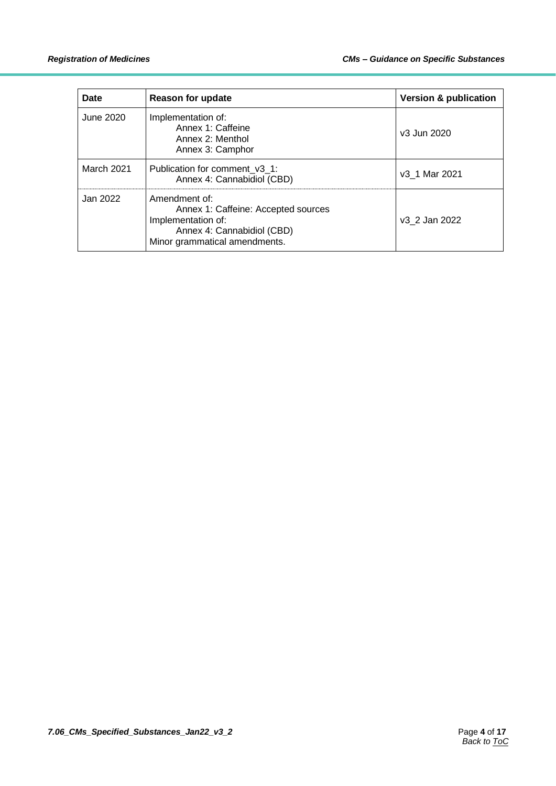| Date              | <b>Reason for update</b>                                                                                                                  | <b>Version &amp; publication</b> |
|-------------------|-------------------------------------------------------------------------------------------------------------------------------------------|----------------------------------|
| June 2020         | Implementation of:<br>Annex 1: Caffeine<br>Annex 2: Menthol<br>Annex 3: Camphor                                                           | v3 Jun 2020                      |
| <b>March 2021</b> | Publication for comment v3 1:<br>Annex 4: Cannabidiol (CBD)                                                                               | v3 1 Mar 2021                    |
| Jan 2022          | Amendment of:<br>Annex 1: Caffeine: Accepted sources<br>Implementation of:<br>Annex 4: Cannabidiol (CBD)<br>Minor grammatical amendments. | v3 2 Jan 2022                    |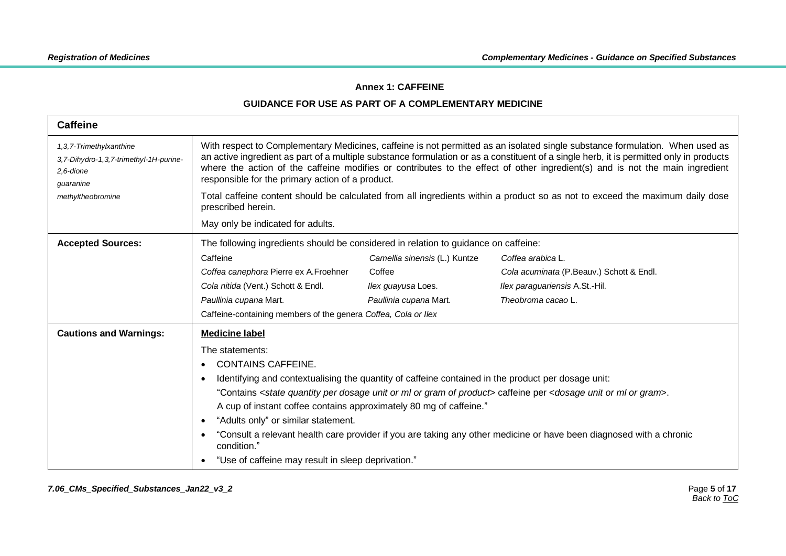### **Annex 1: CAFFEINE**

<span id="page-4-0"></span>

| <b>Caffeine</b>                                                                                                  |                                                                                                                                                                                                                                                                                                                                                                                                                                                                                                                                                                                                                                                        |                               |                                          |
|------------------------------------------------------------------------------------------------------------------|--------------------------------------------------------------------------------------------------------------------------------------------------------------------------------------------------------------------------------------------------------------------------------------------------------------------------------------------------------------------------------------------------------------------------------------------------------------------------------------------------------------------------------------------------------------------------------------------------------------------------------------------------------|-------------------------------|------------------------------------------|
| 1,3,7-Trimethylxanthine<br>3,7-Dihydro-1,3,7-trimethyl-1H-purine-<br>2.6-dione<br>guaranine<br>methyltheobromine | With respect to Complementary Medicines, caffeine is not permitted as an isolated single substance formulation. When used as<br>an active ingredient as part of a multiple substance formulation or as a constituent of a single herb, it is permitted only in products<br>where the action of the caffeine modifies or contributes to the effect of other ingredient(s) and is not the main ingredient<br>responsible for the primary action of a product.<br>Total caffeine content should be calculated from all ingredients within a product so as not to exceed the maximum daily dose<br>prescribed herein.<br>May only be indicated for adults. |                               |                                          |
| <b>Accepted Sources:</b>                                                                                         | The following ingredients should be considered in relation to guidance on caffeine:                                                                                                                                                                                                                                                                                                                                                                                                                                                                                                                                                                    |                               |                                          |
|                                                                                                                  | Caffeine                                                                                                                                                                                                                                                                                                                                                                                                                                                                                                                                                                                                                                               | Camellia sinensis (L.) Kuntze | Coffea arabica L.                        |
|                                                                                                                  | Coffea canephora Pierre ex A.Froehner                                                                                                                                                                                                                                                                                                                                                                                                                                                                                                                                                                                                                  | Coffee                        | Cola acuminata (P.Beauv.) Schott & Endl. |
|                                                                                                                  | Cola nitida (Vent.) Schott & Endl.                                                                                                                                                                                                                                                                                                                                                                                                                                                                                                                                                                                                                     | Ilex guayusa Loes.            | Ilex paraguariensis A.St.-Hil.           |
|                                                                                                                  | Paullinia cupana Mart.                                                                                                                                                                                                                                                                                                                                                                                                                                                                                                                                                                                                                                 | Paullinia cupana Mart.        | Theobroma cacao L.                       |
|                                                                                                                  | Caffeine-containing members of the genera Coffea, Cola or Ilex                                                                                                                                                                                                                                                                                                                                                                                                                                                                                                                                                                                         |                               |                                          |
| <b>Cautions and Warnings:</b>                                                                                    | <b>Medicine label</b>                                                                                                                                                                                                                                                                                                                                                                                                                                                                                                                                                                                                                                  |                               |                                          |
|                                                                                                                  | The statements:<br><b>CONTAINS CAFFEINE.</b><br>Identifying and contextualising the quantity of caffeine contained in the product per dosage unit:<br>"Contains < state quantity per dosage unit or ml or gram of product> caffeine per < dosage unit or ml or gram>.<br>A cup of instant coffee contains approximately 80 mg of caffeine."<br>"Adults only" or similar statement.<br>"Consult a relevant health care provider if you are taking any other medicine or have been diagnosed with a chronic<br>condition."<br>"Use of caffeine may result in sleep deprivation."                                                                         |                               |                                          |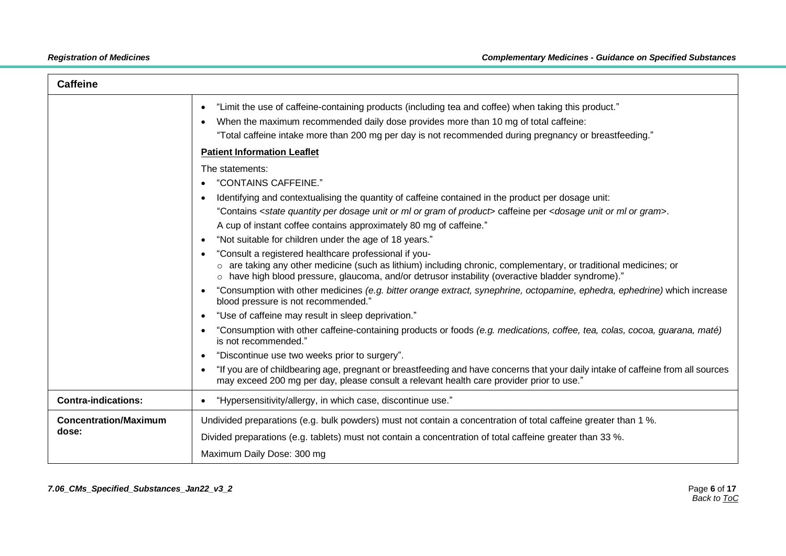| <b>Caffeine</b>                       |                                                                                                                                                                                                                                                                                                                    |
|---------------------------------------|--------------------------------------------------------------------------------------------------------------------------------------------------------------------------------------------------------------------------------------------------------------------------------------------------------------------|
|                                       | "Limit the use of caffeine-containing products (including tea and coffee) when taking this product."<br>$\bullet$<br>When the maximum recommended daily dose provides more than 10 mg of total caffeine:<br>"Total caffeine intake more than 200 mg per day is not recommended during pregnancy or breastfeeding." |
|                                       | <b>Patient Information Leaflet</b>                                                                                                                                                                                                                                                                                 |
|                                       | The statements:<br>"CONTAINS CAFFEINE."<br>Identifying and contextualising the quantity of caffeine contained in the product per dosage unit:<br>"Contains < state quantity per dosage unit or ml or gram of product> caffeine per < dosage unit or ml or gram>.                                                   |
|                                       | A cup of instant coffee contains approximately 80 mg of caffeine."<br>"Not suitable for children under the age of 18 years."                                                                                                                                                                                       |
|                                       | "Consult a registered healthcare professional if you-<br>o are taking any other medicine (such as lithium) including chronic, complementary, or traditional medicines; or<br>o have high blood pressure, glaucoma, and/or detrusor instability (overactive bladder syndrome)."                                     |
|                                       | "Consumption with other medicines (e.g. bitter orange extract, synephrine, octopamine, ephedra, ephedrine) which increase<br>blood pressure is not recommended."                                                                                                                                                   |
|                                       | "Use of caffeine may result in sleep deprivation."<br>$\bullet$                                                                                                                                                                                                                                                    |
|                                       | "Consumption with other caffeine-containing products or foods (e.g. medications, coffee, tea, colas, cocoa, guarana, maté)<br>is not recommended."                                                                                                                                                                 |
|                                       | "Discontinue use two weeks prior to surgery".<br>$\bullet$                                                                                                                                                                                                                                                         |
|                                       | "If you are of childbearing age, pregnant or breastfeeding and have concerns that your daily intake of caffeine from all sources<br>may exceed 200 mg per day, please consult a relevant health care provider prior to use."                                                                                       |
| <b>Contra-indications:</b>            | "Hypersensitivity/allergy, in which case, discontinue use."<br>$\bullet$                                                                                                                                                                                                                                           |
| <b>Concentration/Maximum</b><br>dose: | Undivided preparations (e.g. bulk powders) must not contain a concentration of total caffeine greater than 1 %.<br>Divided preparations (e.g. tablets) must not contain a concentration of total caffeine greater than 33 %.                                                                                       |
|                                       | Maximum Daily Dose: 300 mg                                                                                                                                                                                                                                                                                         |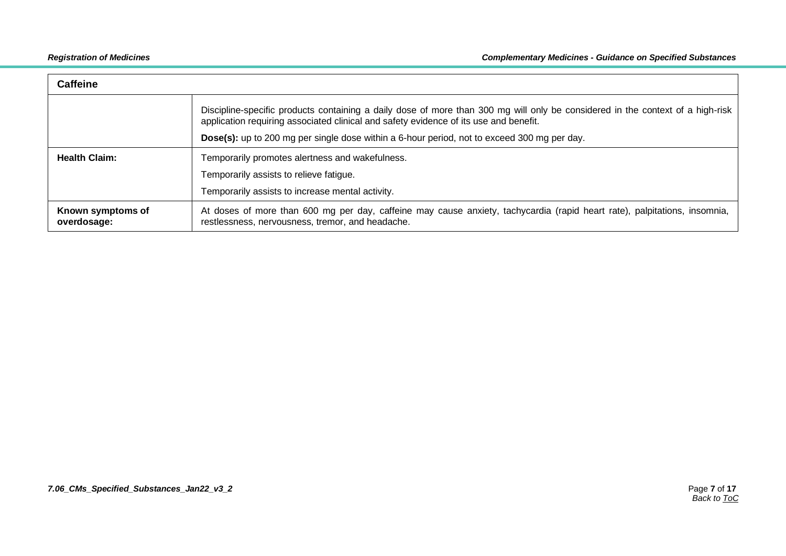| <b>Caffeine</b>                  |                                                                                                                                                                                                                         |
|----------------------------------|-------------------------------------------------------------------------------------------------------------------------------------------------------------------------------------------------------------------------|
|                                  | Discipline-specific products containing a daily dose of more than 300 mg will only be considered in the context of a high-risk<br>application requiring associated clinical and safety evidence of its use and benefit. |
|                                  | Dose(s): up to 200 mg per single dose within a 6-hour period, not to exceed 300 mg per day.                                                                                                                             |
| <b>Health Claim:</b>             | Temporarily promotes alertness and wakefulness.                                                                                                                                                                         |
|                                  | Temporarily assists to relieve fatigue.                                                                                                                                                                                 |
|                                  | Temporarily assists to increase mental activity.                                                                                                                                                                        |
| Known symptoms of<br>overdosage: | At doses of more than 600 mg per day, caffeine may cause anxiety, tachycardia (rapid heart rate), palpitations, insomnia,<br>restlessness, nervousness, tremor, and headache.                                           |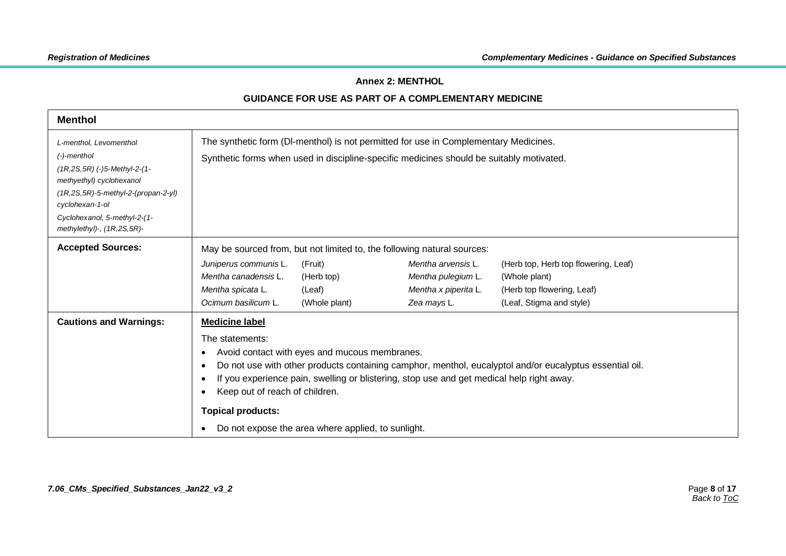#### **Annex 2: MENTHOL**

<span id="page-7-0"></span>

| <b>Menthol</b>                                                                                                                                                                                                                             |                                                                                                                                                                                                                                                                                                                                                                                                                       |                                                  |                                                                                                                                                            |                                                                                                                 |
|--------------------------------------------------------------------------------------------------------------------------------------------------------------------------------------------------------------------------------------------|-----------------------------------------------------------------------------------------------------------------------------------------------------------------------------------------------------------------------------------------------------------------------------------------------------------------------------------------------------------------------------------------------------------------------|--------------------------------------------------|------------------------------------------------------------------------------------------------------------------------------------------------------------|-----------------------------------------------------------------------------------------------------------------|
| L-menthol, Levomenthol<br>$(-)$ -menthol<br>$(1R, 2S, 5R)$ (-)5-Methyl-2-(1-<br>methyethyl) cyclohexanol<br>$(1R, 2S, 5R)$ -5-methyl-2-(propan-2-yl)<br>cyclohexan-1-ol<br>Cyclohexanol, 5-methyl-2-(1-<br>methylethyl)-, $(1R, 2S, 5R)$ - | The synthetic form (DI-menthol) is not permitted for use in Complementary Medicines.<br>Synthetic forms when used in discipline-specific medicines should be suitably motivated.                                                                                                                                                                                                                                      |                                                  |                                                                                                                                                            |                                                                                                                 |
| <b>Accepted Sources:</b>                                                                                                                                                                                                                   | Juniperus communis L.<br>Mentha canadensis L.<br>Mentha spicata L.<br>Ocimum basilicum L.                                                                                                                                                                                                                                                                                                                             | (Fruit)<br>(Herb top)<br>(Leaf)<br>(Whole plant) | May be sourced from, but not limited to, the following natural sources:<br>Mentha arvensis L.<br>Mentha pulegium L.<br>Mentha x piperita L.<br>Zea mays L. | (Herb top, Herb top flowering, Leaf)<br>(Whole plant)<br>(Herb top flowering, Leaf)<br>(Leaf, Stigma and style) |
| <b>Cautions and Warnings:</b>                                                                                                                                                                                                              | <b>Medicine label</b><br>The statements:<br>Avoid contact with eyes and mucous membranes.<br>Do not use with other products containing camphor, menthol, eucalyptol and/or eucalyptus essential oil.<br>If you experience pain, swelling or blistering, stop use and get medical help right away.<br>Keep out of reach of children.<br><b>Topical products:</b><br>Do not expose the area where applied, to sunlight. |                                                  |                                                                                                                                                            |                                                                                                                 |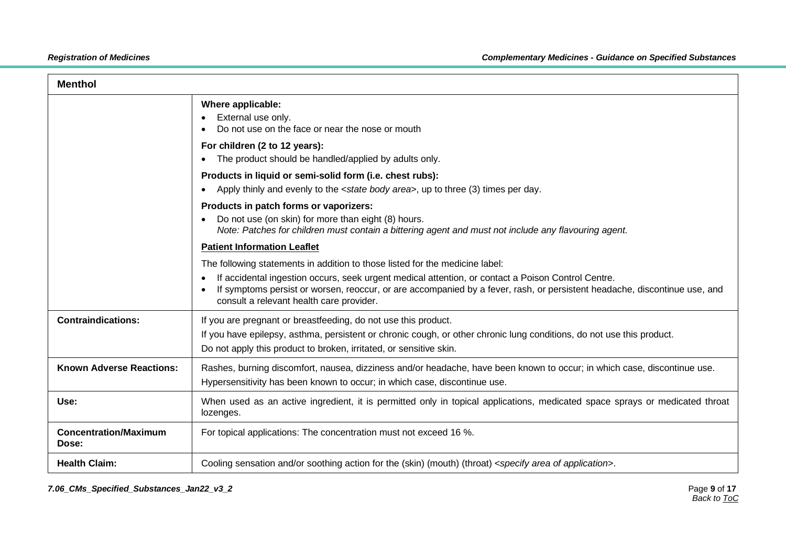| <b>Menthol</b>                        |                                                                                                                                                                                                                                                                                                                                                             |
|---------------------------------------|-------------------------------------------------------------------------------------------------------------------------------------------------------------------------------------------------------------------------------------------------------------------------------------------------------------------------------------------------------------|
|                                       | Where applicable:<br>External use only.<br>Do not use on the face or near the nose or mouth                                                                                                                                                                                                                                                                 |
|                                       | For children (2 to 12 years):<br>The product should be handled/applied by adults only.                                                                                                                                                                                                                                                                      |
|                                       | Products in liquid or semi-solid form (i.e. chest rubs):<br>Apply thinly and evenly to the <state area="" body="">, up to three (3) times per day.</state>                                                                                                                                                                                                  |
|                                       | Products in patch forms or vaporizers:<br>Do not use (on skin) for more than eight (8) hours.<br>Note: Patches for children must contain a bittering agent and must not include any flavouring agent.                                                                                                                                                       |
|                                       | <b>Patient Information Leaflet</b>                                                                                                                                                                                                                                                                                                                          |
|                                       | The following statements in addition to those listed for the medicine label:<br>If accidental ingestion occurs, seek urgent medical attention, or contact a Poison Control Centre.<br>If symptoms persist or worsen, reoccur, or are accompanied by a fever, rash, or persistent headache, discontinue use, and<br>consult a relevant health care provider. |
| <b>Contraindications:</b>             | If you are pregnant or breastfeeding, do not use this product.<br>If you have epilepsy, asthma, persistent or chronic cough, or other chronic lung conditions, do not use this product.<br>Do not apply this product to broken, irritated, or sensitive skin.                                                                                               |
| <b>Known Adverse Reactions:</b>       | Rashes, burning discomfort, nausea, dizziness and/or headache, have been known to occur; in which case, discontinue use.<br>Hypersensitivity has been known to occur; in which case, discontinue use.                                                                                                                                                       |
| Use:                                  | When used as an active ingredient, it is permitted only in topical applications, medicated space sprays or medicated throat<br>lozenges.                                                                                                                                                                                                                    |
| <b>Concentration/Maximum</b><br>Dose: | For topical applications: The concentration must not exceed 16 %.                                                                                                                                                                                                                                                                                           |
| <b>Health Claim:</b>                  | Cooling sensation and/or soothing action for the (skin) (mouth) (throat) <specify application="" area="" of="">.</specify>                                                                                                                                                                                                                                  |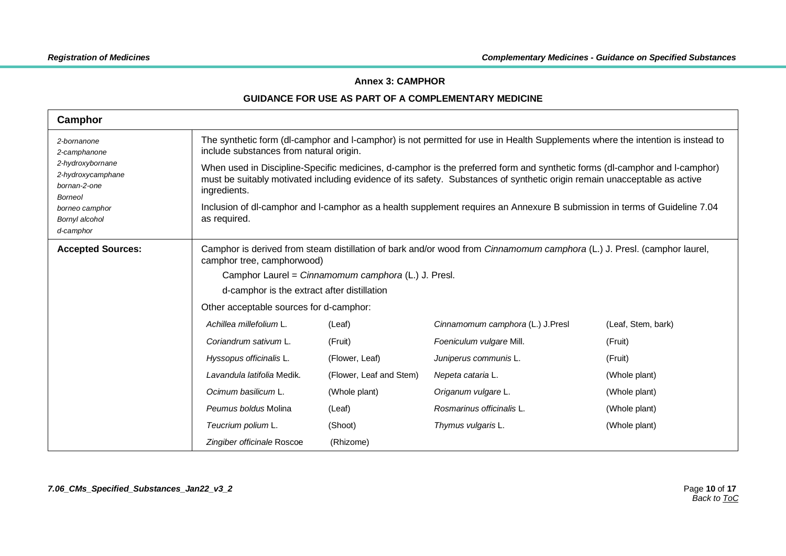#### **Annex 3: CAMPHOR**

<span id="page-9-0"></span>

| Camphor                                                                                                                                                 |                                                                                                                                                                                                                                                                                                                                      |                                                                                                                                                                          |                                                                                                                                                                                                                                                                                                                                                                                                                                                                                                                        |                                                                                                              |
|---------------------------------------------------------------------------------------------------------------------------------------------------------|--------------------------------------------------------------------------------------------------------------------------------------------------------------------------------------------------------------------------------------------------------------------------------------------------------------------------------------|--------------------------------------------------------------------------------------------------------------------------------------------------------------------------|------------------------------------------------------------------------------------------------------------------------------------------------------------------------------------------------------------------------------------------------------------------------------------------------------------------------------------------------------------------------------------------------------------------------------------------------------------------------------------------------------------------------|--------------------------------------------------------------------------------------------------------------|
| 2-bornanone<br>2-camphanone<br>2-hydroxybornane<br>2-hydroxycamphane<br>bornan-2-one<br><b>Borneol</b><br>borneo camphor<br>Bornyl alcohol<br>d-camphor | include substances from natural origin.<br>ingredients.<br>as required.                                                                                                                                                                                                                                                              |                                                                                                                                                                          | The synthetic form (dl-camphor and I-camphor) is not permitted for use in Health Supplements where the intention is instead to<br>When used in Discipline-Specific medicines, d-camphor is the preferred form and synthetic forms (dl-camphor and l-camphor)<br>must be suitably motivated including evidence of its safety. Substances of synthetic origin remain unacceptable as active<br>Inclusion of dl-camphor and I-camphor as a health supplement requires an Annexure B submission in terms of Guideline 7.04 |                                                                                                              |
| <b>Accepted Sources:</b>                                                                                                                                | camphor tree, camphorwood)<br>d-camphor is the extract after distillation<br>Other acceptable sources for d-camphor:<br>Achillea millefolium L.<br>Coriandrum sativum L.<br>Hyssopus officinalis L.<br>Lavandula latifolia Medik.<br>Ocimum basilicum L.<br>Peumus boldus Molina<br>Teucrium polium L.<br>Zingiber officinale Roscoe | Camphor Laurel = Cinnamomum camphora (L.) J. Presl.<br>(Leaf)<br>(Fruit)<br>(Flower, Leaf)<br>(Flower, Leaf and Stem)<br>(Whole plant)<br>(Leaf)<br>(Shoot)<br>(Rhizome) | Camphor is derived from steam distillation of bark and/or wood from Cinnamomum camphora (L.) J. Presl. (camphor laurel,<br>Cinnamomum camphora (L.) J.Presl<br>Foeniculum vulgare Mill.<br>Juniperus communis L.<br>Nepeta cataria L.<br>Origanum vulgare L.<br>Rosmarinus officinalis L.<br>Thymus vulgaris L.                                                                                                                                                                                                        | (Leaf, Stem, bark)<br>(Fruit)<br>(Fruit)<br>(Whole plant)<br>(Whole plant)<br>(Whole plant)<br>(Whole plant) |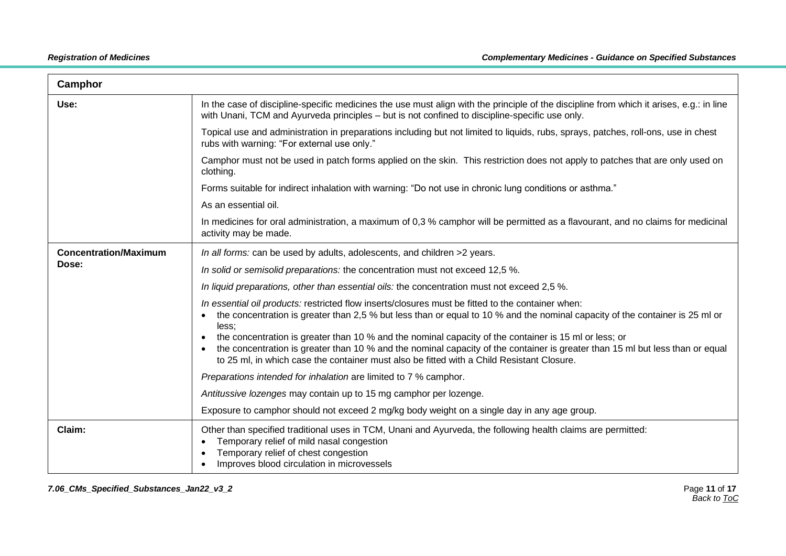| Camphor                      |                                                                                                                                                                                                                                                                                                                                     |  |  |  |
|------------------------------|-------------------------------------------------------------------------------------------------------------------------------------------------------------------------------------------------------------------------------------------------------------------------------------------------------------------------------------|--|--|--|
| Use:                         | In the case of discipline-specific medicines the use must align with the principle of the discipline from which it arises, e.g.: in line<br>with Unani, TCM and Ayurveda principles – but is not confined to discipline-specific use only.                                                                                          |  |  |  |
|                              | Topical use and administration in preparations including but not limited to liquids, rubs, sprays, patches, roll-ons, use in chest<br>rubs with warning: "For external use only."                                                                                                                                                   |  |  |  |
|                              | Camphor must not be used in patch forms applied on the skin. This restriction does not apply to patches that are only used on<br>clothing.                                                                                                                                                                                          |  |  |  |
|                              | Forms suitable for indirect inhalation with warning: "Do not use in chronic lung conditions or asthma."                                                                                                                                                                                                                             |  |  |  |
|                              | As an essential oil.                                                                                                                                                                                                                                                                                                                |  |  |  |
|                              | In medicines for oral administration, a maximum of 0,3 % camphor will be permitted as a flavourant, and no claims for medicinal<br>activity may be made.                                                                                                                                                                            |  |  |  |
| <b>Concentration/Maximum</b> | In all forms: can be used by adults, adolescents, and children >2 years.                                                                                                                                                                                                                                                            |  |  |  |
| Dose:                        | In solid or semisolid preparations: the concentration must not exceed 12,5 %.                                                                                                                                                                                                                                                       |  |  |  |
|                              | In liquid preparations, other than essential oils: the concentration must not exceed 2,5 %.                                                                                                                                                                                                                                         |  |  |  |
|                              | In essential oil products: restricted flow inserts/closures must be fitted to the container when:<br>the concentration is greater than 2,5 % but less than or equal to 10 % and the nominal capacity of the container is 25 ml or<br>less:                                                                                          |  |  |  |
|                              | the concentration is greater than 10 % and the nominal capacity of the container is 15 ml or less; or<br>the concentration is greater than 10 % and the nominal capacity of the container is greater than 15 ml but less than or equal<br>to 25 ml, in which case the container must also be fitted with a Child Resistant Closure. |  |  |  |
|                              | Preparations intended for inhalation are limited to 7 % camphor.                                                                                                                                                                                                                                                                    |  |  |  |
|                              | Antitussive lozenges may contain up to 15 mg camphor per lozenge.                                                                                                                                                                                                                                                                   |  |  |  |
|                              | Exposure to camphor should not exceed 2 mg/kg body weight on a single day in any age group.                                                                                                                                                                                                                                         |  |  |  |
| Claim:                       | Other than specified traditional uses in TCM, Unani and Ayurveda, the following health claims are permitted:<br>Temporary relief of mild nasal congestion<br>Temporary relief of chest congestion<br>Improves blood circulation in microvessels                                                                                     |  |  |  |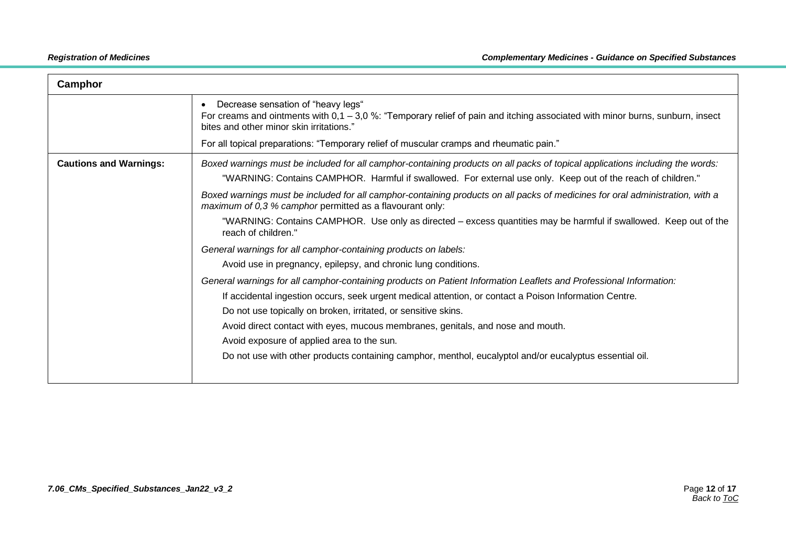| Camphor                       |                                                                                                                                                                                                                                                                                                              |
|-------------------------------|--------------------------------------------------------------------------------------------------------------------------------------------------------------------------------------------------------------------------------------------------------------------------------------------------------------|
|                               | Decrease sensation of "heavy legs"<br>For creams and ointments with $0.1 - 3.0$ %: "Temporary relief of pain and itching associated with minor burns, sunburn, insect<br>bites and other minor skin irritations."<br>For all topical preparations: "Temporary relief of muscular cramps and rheumatic pain." |
|                               |                                                                                                                                                                                                                                                                                                              |
| <b>Cautions and Warnings:</b> | Boxed warnings must be included for all camphor-containing products on all packs of topical applications including the words:<br>"WARNING: Contains CAMPHOR. Harmful if swallowed. For external use only. Keep out of the reach of children."                                                                |
|                               | Boxed warnings must be included for all camphor-containing products on all packs of medicines for oral administration, with a<br>maximum of 0,3 % camphor permitted as a flavourant only:                                                                                                                    |
|                               | "WARNING: Contains CAMPHOR. Use only as directed – excess quantities may be harmful if swallowed. Keep out of the<br>reach of children."                                                                                                                                                                     |
|                               | General warnings for all camphor-containing products on labels:                                                                                                                                                                                                                                              |
|                               | Avoid use in pregnancy, epilepsy, and chronic lung conditions.                                                                                                                                                                                                                                               |
|                               | General warnings for all camphor-containing products on Patient Information Leaflets and Professional Information:                                                                                                                                                                                           |
|                               | If accidental ingestion occurs, seek urgent medical attention, or contact a Poison Information Centre.                                                                                                                                                                                                       |
|                               | Do not use topically on broken, irritated, or sensitive skins.                                                                                                                                                                                                                                               |
|                               | Avoid direct contact with eyes, mucous membranes, genitals, and nose and mouth.                                                                                                                                                                                                                              |
|                               | Avoid exposure of applied area to the sun.                                                                                                                                                                                                                                                                   |
|                               | Do not use with other products containing camphor, menthol, eucalyptol and/or eucalyptus essential oil.                                                                                                                                                                                                      |
|                               |                                                                                                                                                                                                                                                                                                              |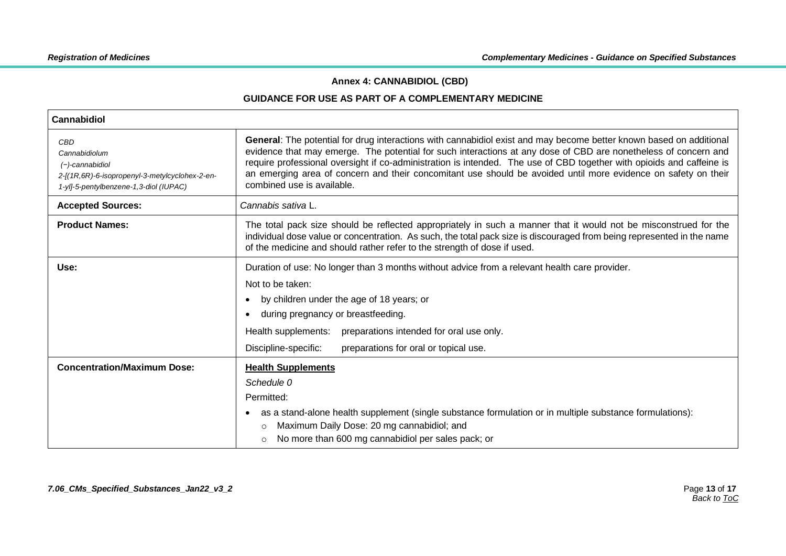#### **Annex 4: CANNABIDIOL (CBD)**

<span id="page-12-0"></span>

| Cannabidiol                                                                                                                            |                                                                                                                                                                                                                                                                                                                                                                                                                                                                                                                 |
|----------------------------------------------------------------------------------------------------------------------------------------|-----------------------------------------------------------------------------------------------------------------------------------------------------------------------------------------------------------------------------------------------------------------------------------------------------------------------------------------------------------------------------------------------------------------------------------------------------------------------------------------------------------------|
| CBD<br>Cannabidiolum<br>$(-)$ -cannabidiol<br>2-[(1R,6R)-6-isopropenyl-3-metylcyclohex-2-en-<br>1-yl]-5-pentylbenzene-1,3-diol (IUPAC) | General: The potential for drug interactions with cannabidiol exist and may become better known based on additional<br>evidence that may emerge. The potential for such interactions at any dose of CBD are nonetheless of concern and<br>require professional oversight if co-administration is intended. The use of CBD together with opioids and caffeine is<br>an emerging area of concern and their concomitant use should be avoided until more evidence on safety on their<br>combined use is available. |
| <b>Accepted Sources:</b>                                                                                                               | Cannabis sativa L.                                                                                                                                                                                                                                                                                                                                                                                                                                                                                              |
| <b>Product Names:</b>                                                                                                                  | The total pack size should be reflected appropriately in such a manner that it would not be misconstrued for the<br>individual dose value or concentration. As such, the total pack size is discouraged from being represented in the name<br>of the medicine and should rather refer to the strength of dose if used.                                                                                                                                                                                          |
| Use:                                                                                                                                   | Duration of use: No longer than 3 months without advice from a relevant health care provider.                                                                                                                                                                                                                                                                                                                                                                                                                   |
|                                                                                                                                        | Not to be taken:                                                                                                                                                                                                                                                                                                                                                                                                                                                                                                |
|                                                                                                                                        | by children under the age of 18 years; or<br>$\bullet$                                                                                                                                                                                                                                                                                                                                                                                                                                                          |
|                                                                                                                                        | during pregnancy or breastfeeding.<br>$\bullet$                                                                                                                                                                                                                                                                                                                                                                                                                                                                 |
|                                                                                                                                        | Health supplements:<br>preparations intended for oral use only.                                                                                                                                                                                                                                                                                                                                                                                                                                                 |
|                                                                                                                                        | Discipline-specific:<br>preparations for oral or topical use.                                                                                                                                                                                                                                                                                                                                                                                                                                                   |
| <b>Concentration/Maximum Dose:</b>                                                                                                     | <b>Health Supplements</b>                                                                                                                                                                                                                                                                                                                                                                                                                                                                                       |
|                                                                                                                                        | Schedule 0                                                                                                                                                                                                                                                                                                                                                                                                                                                                                                      |
|                                                                                                                                        | Permitted:                                                                                                                                                                                                                                                                                                                                                                                                                                                                                                      |
|                                                                                                                                        | as a stand-alone health supplement (single substance formulation or in multiple substance formulations):<br>٠                                                                                                                                                                                                                                                                                                                                                                                                   |
|                                                                                                                                        | Maximum Daily Dose: 20 mg cannabidiol; and<br>$\circ$                                                                                                                                                                                                                                                                                                                                                                                                                                                           |
|                                                                                                                                        | No more than 600 mg cannabidiol per sales pack; or<br>$\circ$                                                                                                                                                                                                                                                                                                                                                                                                                                                   |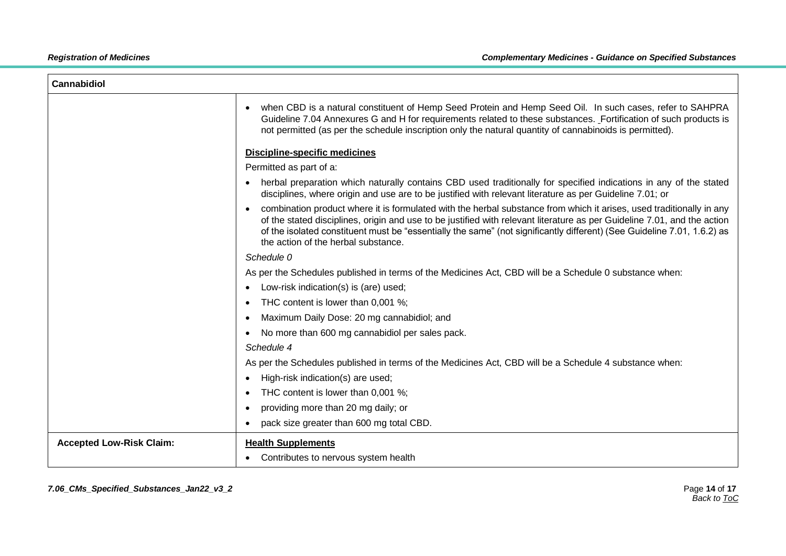| <b>Cannabidiol</b>              |                                                                                                                                                                                                                                                                                                                                                                                                                                 |
|---------------------------------|---------------------------------------------------------------------------------------------------------------------------------------------------------------------------------------------------------------------------------------------------------------------------------------------------------------------------------------------------------------------------------------------------------------------------------|
|                                 | when CBD is a natural constituent of Hemp Seed Protein and Hemp Seed Oil. In such cases, refer to SAHPRA<br>$\bullet$<br>Guideline 7.04 Annexures G and H for requirements related to these substances. Fortification of such products is<br>not permitted (as per the schedule inscription only the natural quantity of cannabinoids is permitted).                                                                            |
|                                 | <b>Discipline-specific medicines</b>                                                                                                                                                                                                                                                                                                                                                                                            |
|                                 | Permitted as part of a:                                                                                                                                                                                                                                                                                                                                                                                                         |
|                                 | herbal preparation which naturally contains CBD used traditionally for specified indications in any of the stated<br>$\bullet$<br>disciplines, where origin and use are to be justified with relevant literature as per Guideline 7.01; or                                                                                                                                                                                      |
|                                 | combination product where it is formulated with the herbal substance from which it arises, used traditionally in any<br>$\bullet$<br>of the stated disciplines, origin and use to be justified with relevant literature as per Guideline 7.01, and the action<br>of the isolated constituent must be "essentially the same" (not significantly different) (See Guideline 7.01, 1.6.2) as<br>the action of the herbal substance. |
|                                 | Schedule 0                                                                                                                                                                                                                                                                                                                                                                                                                      |
|                                 | As per the Schedules published in terms of the Medicines Act, CBD will be a Schedule 0 substance when:                                                                                                                                                                                                                                                                                                                          |
|                                 | Low-risk indication(s) is (are) used;<br>$\bullet$                                                                                                                                                                                                                                                                                                                                                                              |
|                                 | THC content is lower than 0,001 %;<br>$\bullet$                                                                                                                                                                                                                                                                                                                                                                                 |
|                                 | Maximum Daily Dose: 20 mg cannabidiol; and<br>$\bullet$                                                                                                                                                                                                                                                                                                                                                                         |
|                                 | No more than 600 mg cannabidiol per sales pack.<br>$\bullet$                                                                                                                                                                                                                                                                                                                                                                    |
|                                 | Schedule 4                                                                                                                                                                                                                                                                                                                                                                                                                      |
|                                 | As per the Schedules published in terms of the Medicines Act, CBD will be a Schedule 4 substance when:                                                                                                                                                                                                                                                                                                                          |
|                                 | High-risk indication(s) are used;<br>$\bullet$                                                                                                                                                                                                                                                                                                                                                                                  |
|                                 | THC content is lower than 0,001 %;<br>$\bullet$                                                                                                                                                                                                                                                                                                                                                                                 |
|                                 | providing more than 20 mg daily; or<br>$\bullet$                                                                                                                                                                                                                                                                                                                                                                                |
|                                 | pack size greater than 600 mg total CBD.                                                                                                                                                                                                                                                                                                                                                                                        |
| <b>Accepted Low-Risk Claim:</b> | <b>Health Supplements</b>                                                                                                                                                                                                                                                                                                                                                                                                       |
|                                 | Contributes to nervous system health                                                                                                                                                                                                                                                                                                                                                                                            |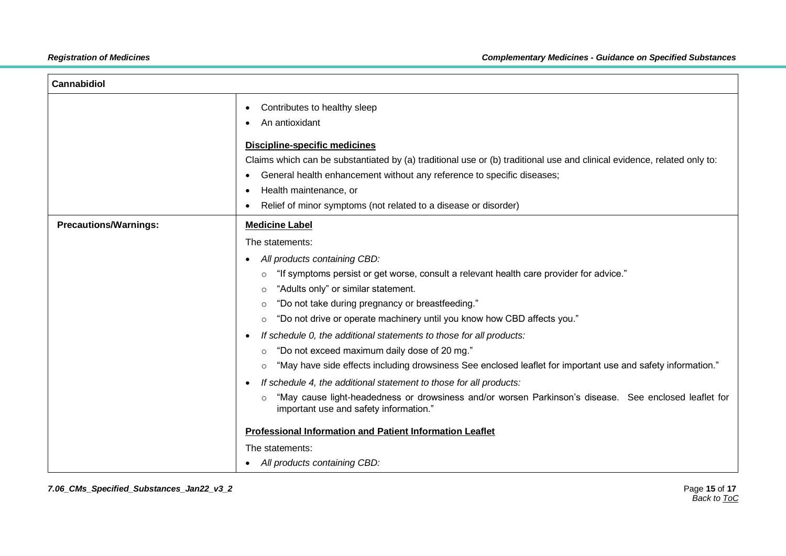| <b>Cannabidiol</b>           |                                                                                                                                                                                                                                                                                                                                                                                                                                                                                                                                                                                                                                                                                                                                                                                                                                                                                                                                                                                                                                 |
|------------------------------|---------------------------------------------------------------------------------------------------------------------------------------------------------------------------------------------------------------------------------------------------------------------------------------------------------------------------------------------------------------------------------------------------------------------------------------------------------------------------------------------------------------------------------------------------------------------------------------------------------------------------------------------------------------------------------------------------------------------------------------------------------------------------------------------------------------------------------------------------------------------------------------------------------------------------------------------------------------------------------------------------------------------------------|
|                              | Contributes to healthy sleep<br>$\bullet$<br>An antioxidant<br><b>Discipline-specific medicines</b><br>Claims which can be substantiated by (a) traditional use or (b) traditional use and clinical evidence, related only to:<br>General health enhancement without any reference to specific diseases;<br>Health maintenance, or<br>O<br>Relief of minor symptoms (not related to a disease or disorder)<br>$\bullet$                                                                                                                                                                                                                                                                                                                                                                                                                                                                                                                                                                                                         |
| <b>Precautions/Warnings:</b> | <b>Medicine Label</b><br>The statements:<br>All products containing CBD:<br>$\bullet$<br>"If symptoms persist or get worse, consult a relevant health care provider for advice."<br>$\circ$<br>"Adults only" or similar statement.<br>$\circ$<br>"Do not take during pregnancy or breastfeeding."<br>$\circ$<br>"Do not drive or operate machinery until you know how CBD affects you."<br>$\circ$<br>If schedule 0, the additional statements to those for all products:<br>- 0<br>"Do not exceed maximum daily dose of 20 mg."<br>$\circ$<br>"May have side effects including drowsiness See enclosed leaflet for important use and safety information."<br>$\circ$<br>If schedule 4, the additional statement to those for all products:<br>"May cause light-headedness or drowsiness and/or worsen Parkinson's disease. See enclosed leaflet for<br>$\circ$<br>important use and safety information."<br><b>Professional Information and Patient Information Leaflet</b><br>The statements:<br>All products containing CBD: |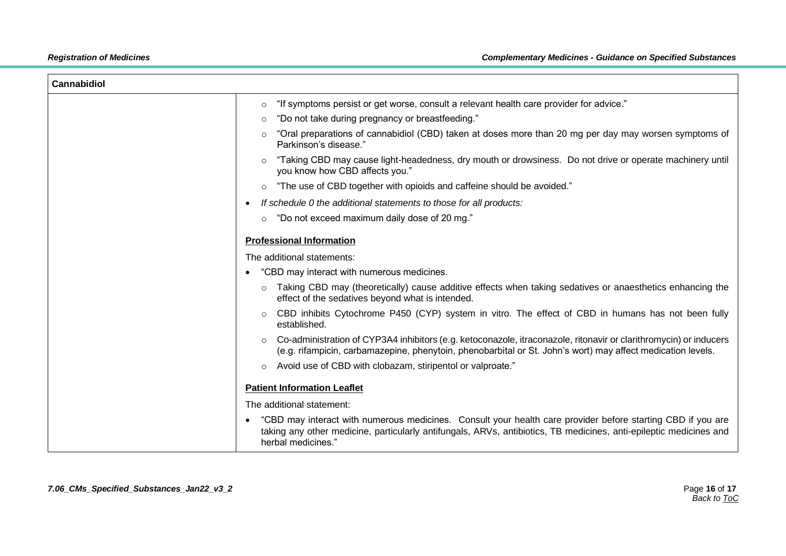| Cannabidiol |                                                                                                                                                                                                                                                         |
|-------------|---------------------------------------------------------------------------------------------------------------------------------------------------------------------------------------------------------------------------------------------------------|
|             | "If symptoms persist or get worse, consult a relevant health care provider for advice."<br>$\circ$                                                                                                                                                      |
|             | "Do not take during pregnancy or breastfeeding."<br>$\circ$                                                                                                                                                                                             |
|             | "Oral preparations of cannabidiol (CBD) taken at doses more than 20 mg per day may worsen symptoms of<br>$\circ$<br>Parkinson's disease."                                                                                                               |
|             | "Taking CBD may cause light-headedness, dry mouth or drowsiness. Do not drive or operate machinery until<br>$\circ$<br>you know how CBD affects you."                                                                                                   |
|             | "The use of CBD together with opioids and caffeine should be avoided."<br>$\circ$                                                                                                                                                                       |
|             | If schedule 0 the additional statements to those for all products:<br>$\bullet$                                                                                                                                                                         |
|             | "Do not exceed maximum daily dose of 20 mg."<br>$\circ$                                                                                                                                                                                                 |
|             | <b>Professional Information</b>                                                                                                                                                                                                                         |
|             | The additional statements:                                                                                                                                                                                                                              |
|             | "CBD may interact with numerous medicines.<br>$\bullet$                                                                                                                                                                                                 |
|             | Taking CBD may (theoretically) cause additive effects when taking sedatives or anaesthetics enhancing the<br>$\circ$<br>effect of the sedatives beyond what is intended.                                                                                |
|             | CBD inhibits Cytochrome P450 (CYP) system in vitro. The effect of CBD in humans has not been fully<br>$\circ$<br>established.                                                                                                                           |
|             | Co-administration of CYP3A4 inhibitors (e.g. ketoconazole, itraconazole, ritonavir or clarithromycin) or inducers<br>$\circ$<br>(e.g. rifampicin, carbamazepine, phenytoin, phenobarbital or St. John's wort) may affect medication levels.             |
|             | Avoid use of CBD with clobazam, stiripentol or valproate."<br>$\circ$                                                                                                                                                                                   |
|             | <b>Patient Information Leaflet</b>                                                                                                                                                                                                                      |
|             | The additional statement:                                                                                                                                                                                                                               |
|             | "CBD may interact with numerous medicines. Consult your health care provider before starting CBD if you are<br>taking any other medicine, particularly antifungals, ARVs, antibiotics, TB medicines, anti-epileptic medicines and<br>herbal medicines." |